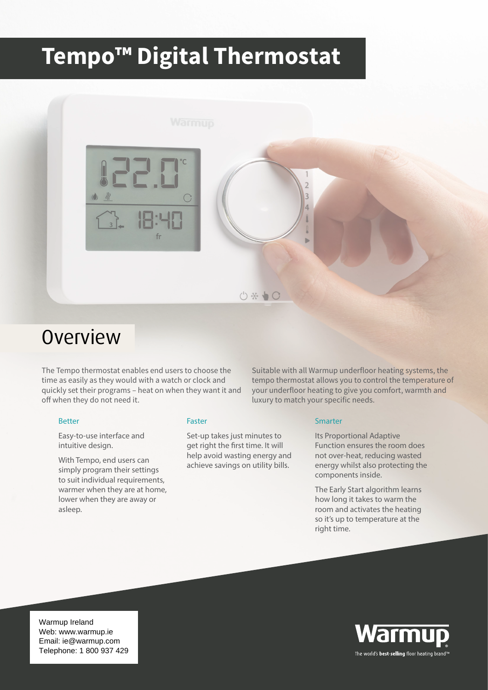# **Tempo™ Digital Thermostat**



### Overview

The Tempo thermostat enables end users to choose the time as easily as they would with a watch or clock and quickly set their programs – heat on when they want it and off when they do not need it.

#### Better

Easy-to-use interface and intuitive design.

With Tempo, end users can simply program their settings to suit individual requirements, warmer when they are at home, lower when they are away or asleep.

#### Faster

Set-up takes just minutes to get right the first time. It will help avoid wasting energy and achieve savings on utility bills.

Suitable with all Warmup underfloor heating systems, the tempo thermostat allows you to control the temperature of your underfloor heating to give you comfort, warmth and luxury to match your specific needs.

#### Smarter

Its Proportional Adaptive Function ensures the room does not over-heat, reducing wasted energy whilst also protecting the components inside.

The Early Start algorithm learns how long it takes to warm the room and activates the heating so it's up to temperature at the right time.

Warmup Ireland<br>Web: www.warmup.ie Email: ie@warmup.com Telephone: 1 800 937 429 Warmup Ireland